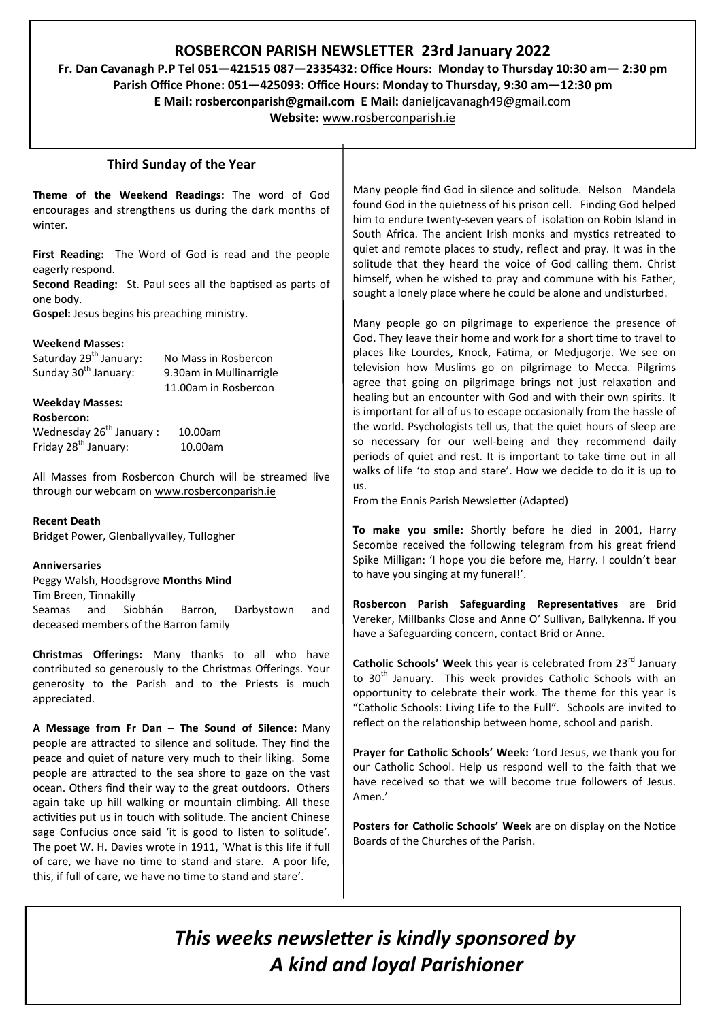# **ROSBERCON PARISH NEWSLETTER 23rd January 2022**

**Fr. Dan Cavanagh P.P Tel 051—421515 087—2335432: Office Hours: Monday to Thursday 10:30 am— 2:30 pm Parish Office Phone: 051—425093: Office Hours: Monday to Thursday, 9:30 am—12:30 pm**

**E Mail: rosberconparish@gmail.com E Mail:** [danieljcavanagh49@gmail.com](mailto:danieljcavanagh49@gmail.com)

**Website:** [www.rosberconparish.ie](http://www.rosberconparish.ie)

### **Third Sunday of the Year**

**Theme of the Weekend Readings:** The word of God encourages and strengthens us during the dark months of winter.

**First Reading:** The Word of God is read and the people eagerly respond.

**Second Reading:** St. Paul sees all the baptised as parts of one body.

**Gospel:** Jesus begins his preaching ministry.

#### **Weekend Masses:**

| Saturday 29 <sup>th</sup> January: | No Mass in Rosbercon    |
|------------------------------------|-------------------------|
| Sunday 30 <sup>th</sup> January:   | 9.30am in Mullinarrigle |
|                                    | 11.00am in Rosbercon    |

#### **Weekday Masses:**

**Rosbercon:** Wednesday  $26<sup>th</sup>$  January : 10.00am Friday 28th January: 10.00am

All Masses from Rosbercon Church will be streamed live through our webcam on [www.rosberconparish.ie](http://www.rosberconparish.ie)

**Recent Death**

Bridget Power, Glenballyvalley, Tullogher

#### **Anniversaries**

Peggy Walsh, Hoodsgrove **Months Mind** Tim Breen, Tinnakilly Seamas and Siobhán Barron, Darbystown and deceased members of the Barron family

**Christmas Offerings:** Many thanks to all who have contributed so generously to the Christmas Offerings. Your generosity to the Parish and to the Priests is much appreciated.

**A Message from Fr Dan – The Sound of Silence:** Many people are attracted to silence and solitude. They find the peace and quiet of nature very much to their liking. Some people are attracted to the sea shore to gaze on the vast ocean. Others find their way to the great outdoors. Others again take up hill walking or mountain climbing. All these activities put us in touch with solitude. The ancient Chinese sage Confucius once said 'it is good to listen to solitude'. The poet W. H. Davies wrote in 1911, 'What is this life if full of care, we have no time to stand and stare. A poor life, this, if full of care, we have no time to stand and stare'.

Many people find God in silence and solitude. Nelson Mandela found God in the quietness of his prison cell. Finding God helped him to endure twenty-seven years of isolation on Robin Island in South Africa. The ancient Irish monks and mystics retreated to quiet and remote places to study, reflect and pray. It was in the solitude that they heard the voice of God calling them. Christ himself, when he wished to pray and commune with his Father, sought a lonely place where he could be alone and undisturbed.

Many people go on pilgrimage to experience the presence of God. They leave their home and work for a short time to travel to places like Lourdes, Knock, Fatima, or Medjugorje. We see on television how Muslims go on pilgrimage to Mecca. Pilgrims agree that going on pilgrimage brings not just relaxation and healing but an encounter with God and with their own spirits. It is important for all of us to escape occasionally from the hassle of the world. Psychologists tell us, that the quiet hours of sleep are so necessary for our well-being and they recommend daily periods of quiet and rest. It is important to take time out in all walks of life 'to stop and stare'. How we decide to do it is up to us.

From the Ennis Parish Newsletter (Adapted)

**To make you smile:** Shortly before he died in 2001, Harry Secombe received the following telegram from his great friend Spike Milligan: 'I hope you die before me, Harry. I couldn't bear to have you singing at my funeral!'.

**Rosbercon Parish Safeguarding Representatives** are Brid Vereker, Millbanks Close and Anne O' Sullivan, Ballykenna. If you have a Safeguarding concern, contact Brid or Anne.

**Catholic Schools' Week** this year is celebrated from 23<sup>rd</sup> January to 30<sup>th</sup> January. This week provides Catholic Schools with an opportunity to celebrate their work. The theme for this year is "Catholic Schools: Living Life to the Full". Schools are invited to reflect on the relationship between home, school and parish.

**Prayer for Catholic Schools' Week:** 'Lord Jesus, we thank you for our Catholic School. Help us respond well to the faith that we have received so that we will become true followers of Jesus. Amen.'

**Posters for Catholic Schools' Week** are on display on the Notice Boards of the Churches of the Parish.

# *This weeks newsletter is kindly sponsored by A kind and loyal Parishioner*